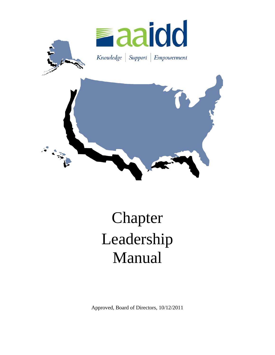

# Chapter Leadership Manual

Approved, Board of Directors, 10/12/2011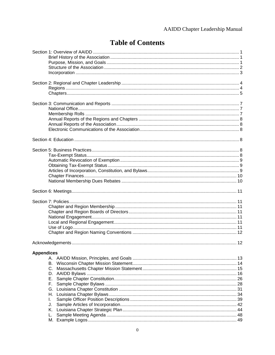### AAIDD Chapter Leadership Manual

# **Table of Contents**

| <b>Appendices</b><br>А.<br>В.<br>F.,<br>I.<br>J. |  |
|--------------------------------------------------|--|
| Κ.<br>L.                                         |  |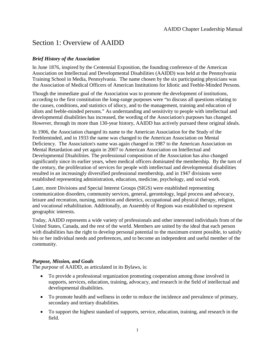# Section 1: Overview of AAIDD

### *Brief History of the Association*

In June 1876, inspired by the Centennial Exposition, the founding conference of the American Association on Intellectual and Developmental Disabilities (AAIDD) was held at the Pennsylvania Training School in Media, Pennsylvania. The name chosen by the six participating physicians was the Association of Medical Officers of American Institutions for Idiotic and Feeble-Minded Persons.

Though the immediate goal of the Association was to promote the development of institutions, according to the first constitution the long-range purposes were "to discuss all questions relating to the causes, conditions, and statistics of idiocy, and to the management, training and education of idiots and feeble-minded persons." As understanding and sensitivity to people with intellectual and developmental disabilities has increased, the wording of the Association's purposes has changed. However, through its more than 130-year history, AAIDD has actively pursued these original ideals.

In 1906, the Association changed its name to the American Association for the Study of the Feebleminded, and in 1933 the name was changed to the American Association on Mental Deficiency. The Association's name was again changed in 1987 to the American Association on Mental Retardation and yet again in 2007 to American Association on Intellectual and Developmental Disabilities. The professional composition of the Association has also changed significantly since its earlier years, when medical officers dominated the membership. By the turn of the century, the proliferation of services for people with intellectual and developmental disabilities resulted in an increasingly diversified professional membership, and in 1947 divisions were established representing administration, education, medicine, psychology, and social work.

Later, more Divisions and Special Interest Groups (SIGS) were established representing communication disorders, community services, general, gerontology, legal process and advocacy, leisure and recreation, nursing, nutrition and dietetics, occupational and physical therapy, religion, and vocational rehabilitation. Additionally, an Assembly of Regions was established to represent geographic interests.

Today, AAIDD represents a wide variety of professionals and other interested individuals from of the United States, Canada, and the rest of the world. Members are united by the ideal that each person with disabilities has the right to develop personal potential to the maximum extent possible, to satisfy his or her individual needs and preferences, and to become an independent and useful member of the community.

### *Purpose, Mission, and Goals*

The *purpose* of AAIDD, as articulated in its Bylaws, is:

- To provide a professional organization promoting cooperation among those involved in supports, services, education, training, advocacy, and research in the field of intellectual and developmental disabilities.
- To promote health and wellness in order to reduce the incidence and prevalence of primary, secondary and tertiary disabilities.
- To support the highest standard of supports, service, education, training, and research in the field.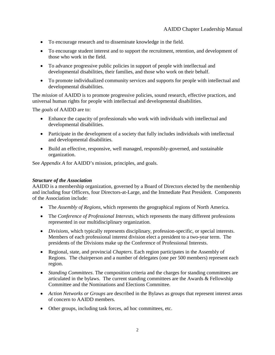- To encourage research and to disseminate knowledge in the field.
- To encourage student interest and to support the recruitment, retention, and development of those who work in the field.
- To advance progressive public policies in support of people with intellectual and developmental disabilities, their families, and those who work on their behalf.
- To promote individualized community services and supports for people with intellectual and developmental disabilities.

The *mission* of AAIDD is to promote progressive policies, sound research, effective practices, and universal human rights for people with intellectual and developmental disabilities.

The *goals* of AAIDD are to:

- Enhance the capacity of professionals who work with individuals with intellectual and developmental disabilities.
- Participate in the development of a society that fully includes individuals with intellectual and developmental disabilities.
- Build an effective, responsive, well managed, responsibly-governed, and sustainable organization.

See *Appendix A* for AAIDD's mission, principles, and goals.

### *Structure of the Association*

AAIDD is a membership organization, governed by a Board of Directors elected by the membership and including four Officers, four Directors-at-Large, and the Immediate Past President. Components of the Association include:

- The *Assembly of Regions*, which represents the geographical regions of North America.
- The *Conference of Professional Interests*, which represents the many different professions represented in our multidisciplinary organization.
- *Divisions*, which typically represents disciplinary, profession-specific, or special interests. Members of each professional interest division elect a president to a two-year term. The presidents of the Divisions make up the Conference of Professional Interests.
- Regional, state, and provincial *Chapters*. Each region participates in the Assembly of Regions. The chairperson and a number of delegates (one per 500 members) represent each region.
- *Standing Committees*. The composition criteria and the charges for standing committees are articulated in the bylaws. The current standing committees are the Awards & Fellowship Committee and the Nominations and Elections Committee.
- *Action Networks or Groups* are described in the Bylaws as groups that represent interest areas of concern to AAIDD members.
- Other groups, including task forces, ad hoc committees, etc.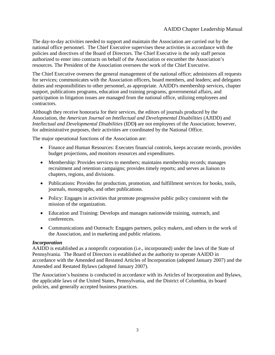The day-to-day activities needed to support and maintain the Association are carried out by the national office personnel. The Chief Executive supervises these activities in accordance with the policies and directives of the Board of Directors. The Chief Executive is the only staff person authorized to enter into contracts on behalf of the Association or encumber the Association's resources. The President of the Association oversees the work of the Chief Executive.

The Chief Executive oversees the general management of the national office; administers all requests for services; communicates with the Association officers, board members, and leaders; and delegates duties and responsibilities to other personnel, as appropriate. AAIDD's membership services, chapter support, publications programs, education and training programs, governmental affairs, and participation in litigation issues are managed from the national office, utilizing employees and contractors.

Although they receive honoraria for their services, the editors of journals produced by the Association, the *American Journal on Intellectual and Developmental Disabilities* (AJIDD) and *Intellectual and Developmental Disabilities* (IDD**)** are not employees of the Association; however, for administrative purposes, their activities are coordinated by the National Office.

The major operational functions of the Association are:

- Finance and Human Resources: Executes financial controls, keeps accurate records, provides budget projections, and monitors resources and expenditures.
- Membership: Provides services to members; maintains membership records; manages recruitment and retention campaigns; provides timely reports; and serves as liaison to chapters, regions, and divisions.
- Publications: Provides for production, promotion, and fulfillment services for books, tools, journals, monographs, and other publications.
- Policy: Engages in activities that promote progressive public policy consistent with the mission of the organization.
- Education and Training: Develops and manages nationwide training, outreach, and conferences.
- Communications and Outreach: Engages partners, policy makers, and others in the work of the Association, and in marketing and public relations.

### *Incorporation*

AAIDD is established as a nonprofit corporation (i.e., incorporated) under the laws of the State of Pennsylvania. The Board of Directors is established as the authority to operate AAIDD in accordance with the Amended and Restated Articles of Incorporation (adopted January 2007) and the Amended and Restated Bylaws (adopted January 2007).

The Association's business is conducted in accordance with its Articles of Incorporation and Bylaws, the applicable laws of the United States, Pennsylvania, and the District of Columbia, its board policies, and generally accepted business practices.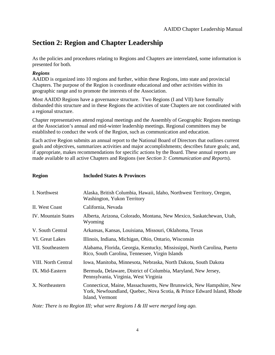# **Section 2: Region and Chapter Leadership**

As the policies and procedures relating to Regions and Chapters are interrelated, some information is presented for both.

### *Regions*

AAIDD is organized into 10 regions and further, within these Regions, into state and provincial Chapters. The purpose of the Region is coordinate educational and other activities within its geographic range and to promote the interests of the Association.

Most AAIDD Regions have a governance structure. Two Regions (I and VII) have formally disbanded this structure and in these Regions the activities of state Chapters are not coordinated with a regional structure.

Chapter representatives attend regional meetings and the Assembly of Geographic Regions meetings at the Association's annual and mid-winter leadership meetings. Regional committees may be established to conduct the work of the Region, such as communication and education.

Each active Region submits an annual report to the National Board of Directors that outlines current goals and objectives, summarizes activities and major accomplishments; describes future goals; and, if appropriate, makes recommendations for specific actions by the Board. These annual reports are made available to all active Chapters and Regions (see *Section 3: Communication and Reports*).

| <b>Region</b>              | <b>Included States &amp; Provinces</b>                                                                                                                            |
|----------------------------|-------------------------------------------------------------------------------------------------------------------------------------------------------------------|
| I. Northwest               | Alaska, British Columbia, Hawaii, Idaho, Northwest Territory, Oregon,<br>Washington, Yukon Territory                                                              |
| II. West Coast             | California, Nevada                                                                                                                                                |
| <b>IV.</b> Mountain States | Alberta, Arizona, Colorado, Montana, New Mexico, Saskatchewan, Utah,<br>Wyoming                                                                                   |
| V. South Central           | Arkansas, Kansas, Louisiana, Missouri, Oklahoma, Texas                                                                                                            |
| VI. Great Lakes            | Illinois, Indiana, Michigan, Ohio, Ontario, Wisconsin                                                                                                             |
| VII. Southeastern          | Alabama, Florida, Georgia, Kentucky, Mississippi, North Carolina, Puerto<br>Rico, South Carolina, Tennessee, Virgin Islands                                       |
| <b>VIII.</b> North Central | Iowa, Manitoba, Minnesota, Nebraska, North Dakota, South Dakota                                                                                                   |
| IX. Mid-Eastern            | Bermuda, Delaware, District of Columbia, Maryland, New Jersey,<br>Pennsylvania, Virginia, West Virginia                                                           |
| X. Northeastern            | Connecticut, Maine, Massachusetts, New Brunswick, New Hampshire, New<br>York, Newfoundland, Quebec, Nova Scotia, & Prince Edward Island, Rhode<br>Island, Vermont |

*Note: There is no Region III; what were Regions I & III were merged long ago.*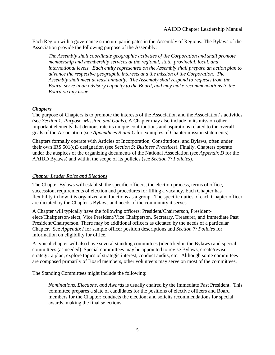Each Region with a governance structure participates in the Assembly of Regions. The Bylaws of the Association provide the following purpose of the Assembly:

*The Assembly shall coordinate geographic activities of the Corporation and shall promote membership and membership services at the regional, state, provincial, local, and international levels. Each entity represented on the Assembly shall prepare an action plan to advance the respective geographic interests and the mission of the Corporation. The Assembly shall meet at least annually. The Assembly shall respond to requests from the Board, serve in an advisory capacity to the Board, and may make recommendations to the Board on any issue.* 

### *Chapters*

The purpose of Chapters is to promote the interests of the Association and the Association's activities (see *Section 1: Purpose, Mission, and Goals*). A Chapter may also include in its mission other important elements that demonstrate its unique contributions and aspirations related to the overall goals of the Association (see *Appendices B and C* for examples of Chapter mission statements).

Chapters formally operate with Articles of Incorporation, Constitutions, and Bylaws, often under their own IRS 501(c)3 designation (see *Section 5: Business Practices*). Finally, Chapters operate under the auspices of the organizing documents of the National Association (see *Appendix D* for the AAIDD Bylaws) and within the scope of its policies (see *Section 7: Policies*).

### *Chapter Leader Roles and Elections*

The Chapter Bylaws will establish the specific officers, the election process, terms of office, succession, requirements of election and procedures for filling a vacancy. Each Chapter has flexibility in how it is organized and functions as a group. The specific duties of each Chapter officer are dictated by the Chapter's Bylaws and needs of the community it serves.

A Chapter will typically have the following officers: President/Chairperson, Presidentelect/Chairperson-elect, Vice President/Vice Chairperson, Secretary, Treasurer, and Immediate Past President/Chairperson. There may be additional officers as dictated by the needs of a particular Chapter. See *Appendix I* for sample officer position descriptions and *Section 7: Policies* for information on eligibility for office.

A typical chapter will also have several standing committees (identified in the Bylaws) and special committees (as needed). Special committees may be appointed to revise Bylaws, create/revise strategic a plan, explore topics of strategic interest, conduct audits, etc. Although some committees are composed primarily of Board members, other volunteers may serve on most of the committees.

The Standing Committees might include the following:

*Nominations, Elections, and Awards* is usually chaired by the Immediate Past President. This committee prepares a slate of candidates for the positions of elective officers and Board members for the Chapter; conducts the election; and solicits recommendations for special awards, making the final selections.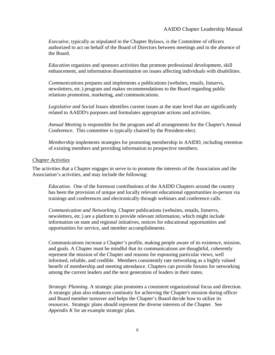*Executive*, typically as stipulated in the Chapter Bylaws, is the Committee of officers authorized to act on behalf of the Board of Directors between meetings and in the absence of the Board.

*Education* organizes and sponsors activities that promote professional development, skill enhancement, and information dissemination on issues affecting individuals with disabilities.

*Communications* prepares and implements a publications (websites, emails, listservs, newsletters, etc.) program and makes recommendations to the Board regarding public relations promotion, marketing, and communications.

*Legislative and Social Issues* identifies current issues at the state level that are significantly related to AAIDD's purposes and formulates appropriate actions and activities.

*Annual Meeting* is responsible for the program and all arrangements for the Chapter's Annual Conference. This committee is typically chaired by the President-elect.

*Membership* implements strategies for promoting membership in AAIDD, including retention of existing members and providing information to prospective members.

### *Chapter Activities*

The activities that a Chapter engages in serve to to promote the interests of the Association and the Association's activities, and may include the following:

*Education*. One of the foremost contributions of the AAIDD Chapters around the country has been the provision of unique and locally relevant educational opportunities in-person via trainings and conferences and electronically through webinars and conference calls.

*Communication and Networking*. Chapter publications (websites, emails, listservs, newsletters, etc.) are a platform to provide relevant information, which might include information on state and regional initiatives, notices for educational opportunities and opportunities for service, and member accomplishments.

Communications increase a Chapter's profile, making people aware of its existence, mission, and goals. A Chapter must be mindful that its communications are thoughtful, coherently represent the mission of the Chapter and reasons for espousing particular views, well informed, reliable, and credible. Members consistently rate networking as a highly valued benefit of membership and meeting attendance. Chapters can provide forums for networking among the current leaders and the next generation of leaders in their states.

*Strategic Planning*. A strategic plan promotes a consistent organizational focus and direction. A strategic plan also enhances continuity for achieving the Chapter's mission during officer and Board member turnover and helps the Chapter's Board decide how to utilize its resources. Strategic plans should represent the diverse interests of the Chapter. See *Appendix K* for an example strategic plan.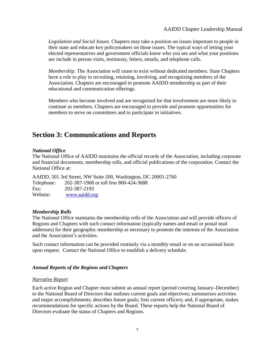*Legislation and Social Issues*. Chapters may take a position on issues important to people in their state and educate key policymakers on those issues. The typical ways of letting your elected representatives and government officials know who you are and what your positions are include in person visits, testimony, letters, emails, and telephone calls.

*Membership.* The Association will cease to exist without dedicated members. State Chapters have a role to play in recruiting, retaining, involving, and recognizing members of the Association. Chapters are encouraged to promote AAIDD membership as part of their educational and communication offerings.

Members who become involved and are recognized for that involvement are more likely to continue as members. Chapters are encouraged to provide and promote opportunities for members to serve on committees and to participate in initiatives.

# **Section 3: Communications and Reports**

### *National Office*

The National Office of AAIDD maintains the official records of the Association, including corporate and financial documents, membership rolls, and official publications of the corporation. Contact the National Office at:

AAIDD, 501 3rd Street, NW Suite 200, Washington, DC 20001-2760 Telephone: 202-387-1968 or toll free 800-424-3688 Fax: 202-387-2193 Website: [www.aaidd.org](http://www.aaidd.org/)

### *Membership Rolls*

The National Office maintains the membership rolls of the Association and will provide officers of Regions and Chapters with such contact information (typically names and email or postal mail addresses) for their geographic membership as necessary to promote the interests of the Association and the Association's activities.

Such contact information can be provided routinely via a monthly email or on an occasional basis upon request. Contact the National Office to establish a delivery schedule.

### *Annual Reports of the Regions and Chapters*

### *Narrative Report*

Each active Region and Chapter must submit an annual report (period covering January–December) to the National Board of Directors that outlines current goals and objectives; summarizes activities and major accomplishments; describes future goals; lists current officers; and, if appropriate, makes recommendations for specific actions by the Board. These reports help the National Board of Directors evaluate the status of Chapters and Regions.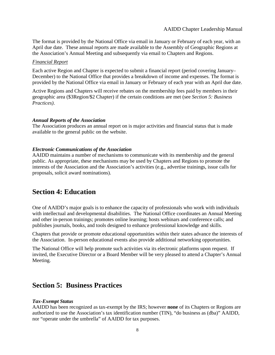The format is provided by the National Office via email in January or February of each year, with an April due date. These annual reports are made available to the Assembly of Geographic Regions at the Association's Annual Meeting and subsequently via email to Chapters and Regions.

#### *Financial Report*

Each active Region and Chapter is expected to submit a financial report (period covering January– December) to the National Office that provides a breakdown of income and expenses. The format is provided by the National Office via email in January or February of each year with an April due date.

Active Regions and Chapters will receive rebates on the membership fees paid by members in their geographic area (\$3Region/\$2 Chapter) if the certain conditions are met (see *Section 5: Business Practices)*.

#### *Annual Reports of the Association*

The Association produces an annual report on is major activities and financial status that is made available to the general public on the website.

### *Electronic Communications of the Association*

AAIDD maintains a number of mechanisms to communicate with its membership and the general public. As appropriate, these mechanisms may be used by Chapters and Regions to promote the interests of the Association and the Association's activities (e.g., advertise trainings, issue calls for proposals, solicit award nominations).

### **Section 4: Education**

One of AAIDD's major goals is to enhance the capacity of professionals who work with individuals with intellectual and developmental disabilities. The National Office coordinates an Annual Meeting and other in-person trainings; promotes online learning; hosts webinars and conference calls; and publishes journals, books, and tools designed to enhance professional knowledge and skills.

Chapters that provide or promote educational opportunities within their states advance the interests of the Association. In-person educational events also provide additional networking opportunities.

The National Office will help promote such activities via its electronic platforms upon request. If invited, the Executive Director or a Board Member will be very pleased to attend a Chapter's Annual Meeting.

### **Section 5: Business Practices**

### *Tax-Exempt Status*

AAIDD has been recognized as tax-exempt by the IRS; however **none** of its Chapters or Regions are authorized to use the Association's tax identification number (TIN), "do business as (dba)" AAIDD, nor "operate under the umbrella" of AAIDD for tax purposes.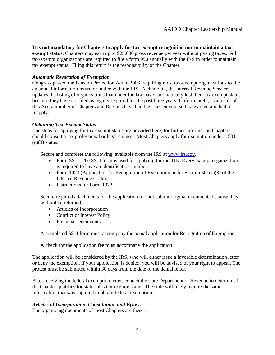**It is not mandatory for Chapters to apply for tax-exempt recognition nor to maintain a taxexempt status**. Chapters may earn up to \$25,000 gross revenue per year without paying taxes. All tax-exempt organizations are required to file a form 990 annually with the IRS in order to maintain tax exempt status. Filing this return is the responsibility of the Chapter.

### *Automatic Revocation of Exemption*

Congress passed the Pension Protection Act in 2006, requiring most tax-exempt organizations to file an annual information return or notice with the IRS. Each month, the Internal Revenue Service updates the listing of organizations that under the law have automatically lost their tax-exempt status because they have not filed as legally required for the past three years. Unfortunately, as a result of this Act, a number of Chapters and Regions have had their tax-exempt status revoked and had to reapply.

### *Obtaining Tax-Exempt Status*

The steps for applying for tax-exempt status are provided here; for further information Chapters should consult a tax professional or legal counsel. Most Chapters apply for exemption under a 501  $(c)(3)$  status.

Secure and complete the following, available from the IRS at [www.irs.gov.](http://www.irs.gov/)

- Form SS-4. The SS-4 form is used for applying for the TIN. Every exempt organization is required to have an identification number.
- Form 1023 (Application for Recognition of Exemption under Section 501(c)(3) of the Internal Revenue Code).
- Instructions for Form 1023.

Secure required attachments for the application (do not submit original documents because they will not be returned):

- Articles of Incorporation
- Conflict of Interest Policy
- Financial Documents

A completed SS-4 form must accompany the actual application for Recognition of Exemption.

A check for the application fee must accompany the application.

The application will be considered by the IRS, who will either issue a favorable determination letter or deny the exemption. If your application is denied, you will be advised of your right to appeal. The protest must be submitted within 30 days from the date of the denial letter.

After receiving the federal exemption letter, contact the state Department of Revenue to determine if the Chapter qualifies for state sales tax-exempt status. The state will likely require the same information that was supplied to obtain federal exemption.

### *Articles of Incorporation, Constitution, and Bylaws*

The organizing documents of most Chapters are these: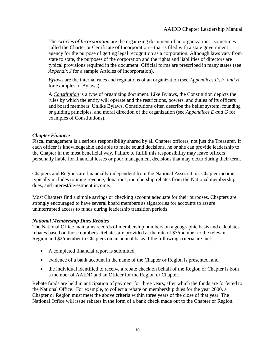The *Articles of Incorporation* are the organizing document of an organization—sometimes called the Charter or Certificate of Incorporation—that is filed with a state government agency for the purpose of getting legal recognition as a corporation. Although laws vary from state to state, the purposes of the corporation and the rights and liabilities of directors are typical provisions required in the document. Official forms are prescribed in many states (see *Appendix J* for a sample Articles of Incorporation).

*Bylaws* are the internal rules and regulations of an organization (see *Appendices D, F, and H* for examples of Bylaws).

A *Constitution* is a type of organizing document. Like Bylaws, the Constitution depicts the rules by which the entity will operate and the restrictions, powers, and duties of its officers and board members. Unlike Bylaws, Constitutions often describe the belief system, founding or guiding principles, and moral direction of the organization (see *Appendices E and G* for examples of Constitutions).

### *Chapter Finances*

Fiscal management is a serious responsibility shared by all Chapter officers, not just the Treasurer. If each officer is knowledgeable and able to make sound decisions, he or she can provide leadership to the Chapter in the most beneficial way. Failure to fulfill this responsibility may leave officers personally liable for financial losses or poor management decisions that may occur during their term.

Chapters and Regions are financially independent from the National Association. Chapter income typically includes training revenue, donations, membership rebates from the National membership dues, and interest/investment income.

Most Chapters find a simple savings or checking account adequate for their purposes. Chapters are strongly encouraged to have several board members as signatories for accounts to assure uninterrupted access to funds during leadership transition periods.

### *National Membership Dues Rebates*

The National Office maintains records of membership numbers on a geographic basis and calculates rebates based on those numbers. Rebates are provided at the rate of \$3/member to the relevant Region and \$2/member to Chapters on an annual basis if the following criteria are met:

- A completed financial report is submitted,
- evidence of a bank account in the name of the Chapter or Region is presented, and
- the individual identified to receive a rebate check on behalf of the Region or Chapter is both a member of AAIDD and an Officer for the Region or Chapter.

Rebate funds are held in anticipation of payment for three years, after which the funds are forfeited to the National Office. For example, to collect a rebate on membership dues for the year 2000, a Chapter or Region must meet the above criteria within three years of the close of that year. The National Office will issue rebates in the form of a bank check made out to the Chapter or Region.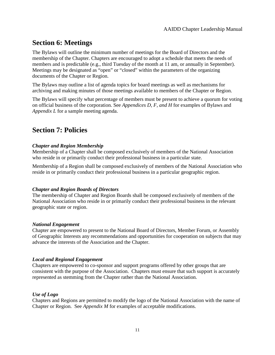# **Section 6: Meetings**

The Bylaws will outline the minimum number of meetings for the Board of Directors and the membership of the Chapter. Chapters are encouraged to adopt a schedule that meets the needs of members and is predictable (e.g., third Tuesday of the month at 11 am, or annually in September). Meetings may be designated as "open" or "closed" within the parameters of the organizing documents of the Chapter or Region.

The Bylaws may outline a list of agenda topics for board meetings as well as mechanisms for archiving and making minutes of those meetings available to members of the Chapter or Region.

The Bylaws will specify what percentage of members must be present to achieve a quorum for voting on official business of the corporation. See *Appendices D, F, and H* for examples of Bylaws and *Appendix L* for a sample meeting agenda.

# **Section 7: Policies**

### *Chapter and Region Membership*

Membership of a Chapter shall be composed exclusively of members of the National Association who reside in or primarily conduct their professional business in a particular state.

Membership of a Region shall be composed exclusively of members of the National Association who reside in or primarily conduct their professional business in a particular geographic region.

### *Chapter and Region Boards of Directors*

The membership of Chapter and Region Boards shall be composed exclusively of members of the National Association who reside in or primarily conduct their professional business in the relevant geographic state or region.

### *National Engagement*

Chapter are empowered to present to the National Board of Directors, Member Forum, or Assembly of Geographic Interests any recommendations and opportunities for cooperation on subjects that may advance the interests of the Association and the Chapter.

### *Local and Regional Engagement*

Chapters are empowered to co-sponsor and support programs offered by other groups that are consistent with the purpose of the Association. Chapters must ensure that such support is accurately represented as stemming from the Chapter rather than the National Association.

### *Use of Logo*

Chapters and Regions are permitted to modify the logo of the National Association with the name of Chapter or Region. See *Appendix M* for examples of acceptable modifications.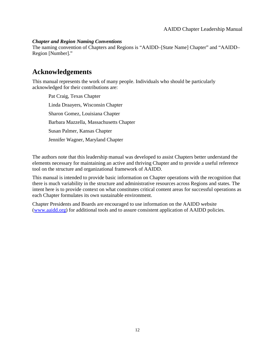### *Chapter and Region Naming Conventions*

The naming convention of Chapters and Regions is "AAIDD–[State Name] Chapter" and "AAIDD– Region [Number]."

# **Acknowledgements**

This manual represents the work of many people. Individuals who should be particularly acknowledged for their contributions are:

Pat Craig, Texas Chapter Linda Draayers, Wisconsin Chapter Sharon Gomez, Louisiana Chapter Barbara Mazzella, Massachusetts Chapter Susan Palmer, Kansas Chapter Jennifer Wagner, Maryland Chapter

The authors note that this leadership manual was developed to assist Chapters better understand the elements necessary for maintaining an active and thriving Chapter and to provide a useful reference tool on the structure and organizational framework of AAIDD.

This manual is intended to provide basic information on Chapter operations with the recognition that there is much variability in the structure and administrative resources across Regions and states. The intent here is to provide context on what constitutes critical content areas for successful operations as each Chapter formulates its own sustainable environment.

Chapter Presidents and Boards are encouraged to use information on the AAIDD website [\(www.aaidd.org\)](http://www.aaidd.org/) for additional tools and to assure consistent application of AAIDD policies.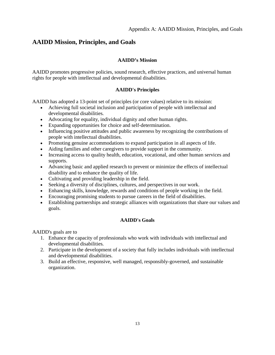### **AAIDD Mission, Principles, and Goals**

### **AAIDD's Mission**

AAIDD promotes progressive policies, sound research, effective practices, and universal human rights for people with intellectual and developmental disabilities.

### **AAIDD's Principles**

AAIDD has adopted a 13-point set of principles (or core values) relative to its mission:

- Achieving full societal inclusion and participation of people with intellectual and developmental disabilities.
- Advocating for equality, individual dignity and other human rights.
- Expanding opportunities for choice and self-determination.
- Influencing positive attitudes and public awareness by recognizing the contributions of people with intellectual disabilities.
- Promoting genuine accommodations to expand participation in all aspects of life.
- Aiding families and other caregivers to provide support in the community.
- Increasing access to quality health, education, vocational, and other human services and supports.
- Advancing basic and applied research to prevent or minimize the effects of intellectual disability and to enhance the quality of life.
- Cultivating and providing leadership in the field.
- Seeking a diversity of disciplines, cultures, and perspectives in our work.
- Enhancing skills, knowledge, rewards and conditions of people working in the field.
- Encouraging promising students to pursue careers in the field of disabilities.
- Establishing partnerships and strategic alliances with organizations that share our values and goals.

### **AAIDD's Goals**

AAIDD's goals are to

- 1. Enhance the capacity of professionals who work with individuals with intellectual and developmental disabilities.
- 2. Participate in the development of a society that fully includes individuals with intellectual and developmental disabilities.
- 3. Build an effective, responsive, well managed, responsibly-governed, and sustainable organization.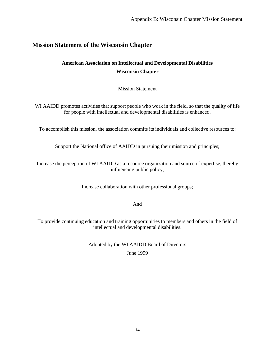### **Mission Statement of the Wisconsin Chapter**

### **American Association on Intellectual and Developmental Disabilities Wisconsin Chapter**

### **Mission Statement**

WI AAIDD promotes activities that support people who work in the field, so that the quality of life for people with intellectual and developmental disabilities is enhanced.

To accomplish this mission, the association commits its individuals and collective resources to:

Support the National office of AAIDD in pursuing their mission and principles;

Increase the perception of WI AAIDD as a resource organization and source of expertise, thereby influencing public policy;

Increase collaboration with other professional groups;

And

To provide continuing education and training opportunities to members and others in the field of intellectual and developmental disabilities.

> Adopted by the WI AAIDD Board of Directors June 1999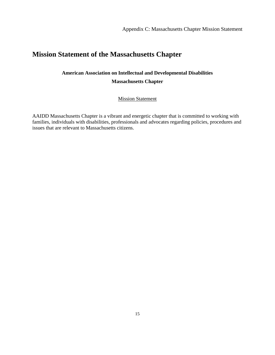## **Mission Statement of the Massachusetts Chapter**

### **American Association on Intellectual and Developmental Disabilities Massachusetts Chapter**

Mission Statement

AAIDD Massachusetts Chapter is a vibrant and energetic chapter that is committed to working with families, individuals with disabilities, professionals and advocates regarding policies, procedures and issues that are relevant to Massachusetts citizens.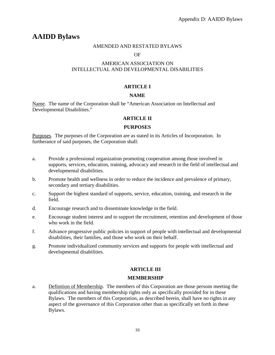# **AAIDD Bylaws**

### AMENDED AND RESTATED BYLAWS

### OF

### AMERICAN ASSOCIATION ON INTELLECTUAL AND DEVELOPMENTAL DISABILITIES

### **ARTICLE I**

### **NAME**

Name. The name of the Corporation shall be "American Association on Intellectual and Developmental Disabilities."

### **ARTICLE II**

### **PURPOSES**

Purposes. The purposes of the Corporation are as stated in its Articles of Incorporation. In furtherance of said purposes, the Corporation shall:

- a. Provide a professional organization promoting cooperation among those involved in supports, services, education, training, advocacy and research in the field of intellectual and developmental disabilities.
- b. Promote health and wellness in order to reduce the incidence and prevalence of primary, secondary and tertiary disabilities.
- c. Support the highest standard of supports, service, education, training, and research in the field.
- d. Encourage research and to disseminate knowledge in the field.
- e. Encourage student interest and to support the recruitment, retention and development of those who work in the field.
- f. Advance progressive public policies in support of people with intellectual and developmental disabilities, their families, and those who work on their behalf.
- g. Promote individualized community services and supports for people with intellectual and developmental disabilities.

### **ARTICLE III**

### **MEMBERSHIP**

a. Definition of Membership. The members of this Corporation are those persons meeting the qualifications and having membership rights only as specifically provided for in these Bylaws. The members of this Corporation, as described herein, shall have no rights in any aspect of the governance of this Corporation other than as specifically set forth in these Bylaws.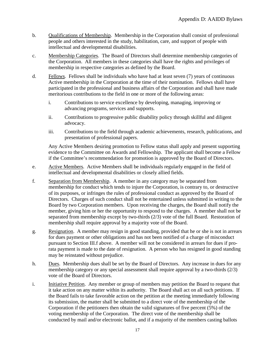- b. Qualifications of Membership. Membership in the Corporation shall consist of professional people and others interested in the study, habilitation, care, and support of people with intellectual and developmental disabilities.
- c. Membership Categories. The Board of Directors shall determine membership categories of the Corporation. All members in these categories shall have the rights and privileges of membership in respective categories as defined by the Board.
- d. Fellows. Fellows shall be individuals who have had at least seven (7) years of continuous Active membership in the Corporation at the time of their nomination. Fellows shall have participated in the professional and business affairs of the Corporation and shall have made meritorious contributions to the field in one or more of the following areas:
	- i. Contributions to service excellence by developing, managing, improving or advancing programs, services and supports.
	- ii. Contributions to progressive public disability policy through skillful and diligent advocacy.
	- iii. Contributions to the field through academic achievements, research, publications, and presentation of professional papers.

Any Active Members desiring promotion to Fellow status shall apply and present supporting evidence to the Committee on Awards and Fellowship. The applicant shall become a Fellow if the Committee's recommendation for promotion is approved by the Board of Directors.

- e. Active Members. Active Members shall be individuals regularly engaged in the field of intellectual and developmental disabilities or closely allied fields.
- f. Separation from Membership. A member in any category may be separated from membership for conduct which tends to injure the Corporation, is contrary to, or destructive of its purposes, or infringes the rules of professional conduct as approved by the Board of Directors. Charges of such conduct shall not be entertained unless submitted in writing to the Board by two Corporation members. Upon receiving the charges, the Board shall notify the member, giving him or her the opportunity to respond to the charges. A member shall not be separated from membership except by two-thirds (2/3) vote of the full Board. Restoration of membership shall require approval by a majority vote of the Board.
- g. Resignation. A member may resign in good standing, provided that he or she is not in arrears for dues payment or other obligations and has not been notified of a charge of misconduct pursuant to Section III.f above. A member will not be considered in arrears for dues if prorata payment is made to the date of resignation. A person who has resigned in good standing may be reinstated without prejudice.
- h. Dues. Membership dues shall be set by the Board of Directors. Any increase in dues for any membership category or any special assessment shall require approval by a two-thirds (2/3) vote of the Board of Directors.
- i. Initiative Petition. Any member or group of members may petition the Board to request that it take action on any matter within its authority. The Board shall act on all such petitions. If the Board fails to take favorable action on the petition at the meeting immediately following its submission, the matter shall be submitted to a direct vote of the membership of the Corporation if the petitioners then obtain the valid signatures of five percent (5%) of the voting membership of the Corporation. The direct vote of the membership shall be conducted by mail and/or electronic ballot, and if a majority of the members casting ballots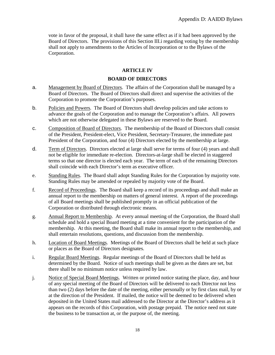vote in favor of the proposal, it shall have the same effect as if it had been approved by the Board of Directors. The provisions of this Section III.i regarding voting by the membership shall not apply to amendments to the Articles of Incorporation or to the Bylaws of the Corporation.

### **ARTICLE IV**

### **BOARD OF DIRECTORS**

- a. Management by Board of Directors. The affairs of the Corporation shall be managed by a Board of Directors. The Board of Directors shall direct and supervise the activities of the Corporation to promote the Corporation's purposes.
- b. Policies and Powers. The Board of Directors shall develop policies and take actions to advance the goals of the Corporation and to manage the Corporation's affairs. All powers which are not otherwise delegated in these Bylaws are reserved to the Board.
- c. Composition of Board of Directors . The membership of the Board of Directors shall consist of the President, President-elect, Vice President, Secretary-Treasurer, the immediate past President of the Corporation, and four (4) Directors elected by the membership at large.
- d. Term of Directors. Directors elected at large shall serve for terms of four (4) years and shall not be eligible for immediate re-election. Directors-at-large shall be elected in staggered terms so that one director is elected each year. The term of each of the remaining Directors shall coincide with each Director's term as executive officer.
- e. Standing Rules. The Board shall adopt Standing Rules for the Corporation by majority vote. Standing Rules may be amended or repealed by majority vote of the Board.
- f. Record of Proceedings. The Board shall keep a record of its proceedings and shall make an annual report to the membership on matters of general interest. A report of the proceedings of all Board meetings shall be published promptly in an official publication of the Corporation or distributed through electronic means.
- g. Annual Report to Membership. At every annual meeting of the Corporation, the Board shall schedule and hold a special Board meeting at a time convenient for the participation of the membership. At this meeting, the Board shall make its annual report to the membership, and shall entertain resolutions, questions, and discussion from the membership.
- h. Location of Board Meetings. Meetings of the Board of Directors shall be held at such place or places as the Board of Directors designates.
- i. Regular Board Meetings. Regular meetings of the Board of Directors shall be held as determined by the Board. Notice of such meetings shall be given as the dates are set, but there shall be no minimum notice unless required by law.
- j. Notice of Special Board Meetings. Written or printed notice stating the place, day, and hour of any special meeting of the Board of Directors will be delivered to each Director not less than two (2) days before the date of the meeting, either personally or by first class mail, by or at the direction of the President. If mailed, the notice will be deemed to be delivered when deposited in the United States mail addressed to the Director at the Director's address as it appears on the records of this Corporation, with postage prepaid. The notice need not state the business to be transaction at, or the purpose of, the meeting.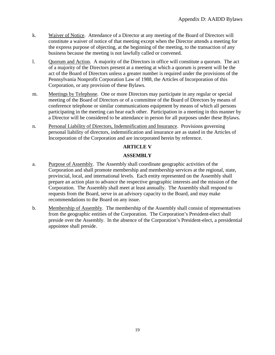- k. Waiver of Notice. Attendance of a Director at any meeting of the Board of Directors will constitute a waiver of notice of that meeting except when the Director attends a meeting for the express purpose of objecting, at the beginning of the meeting, to the transaction of any business because the meeting is not lawfully called or convened.
- l. Quorum and Action. A majority of the Directors in office will constitute a quorum. The act of a majority of the Directors present at a meeting at which a quorum is present will be the act of the Board of Directors unless a greater number is required under the provisions of the Pennsylvania Nonprofit Corporation Law of 1988, the Articles of Incorporation of this Corporation, or any provision of these Bylaws.
- m. Meetings by Telephone. One or more Directors may participate in any regular or special meeting of the Board of Directors or of a committee of the Board of Directors by means of conference telephone or similar communications equipment by means of which all persons participating in the meeting can hear each other. Participation in a meeting in this manner by a Director will be considered to be attendance in person for all purposes under these Bylaws.
- n. Personal Liability of Directors, Indemnification and Insurance. Provisions governing personal liability of directors, indemnification and insurance are as stated in the Articles of Incorporation of the Corporation and are incorporated herein by reference.

### **ARTICLE V**

### **ASSEMBLY**

- a. Purpose of Assembly. The Assembly shall coordinate geographic activities of the Corporation and shall promote membership and membership services at the regional, state, provincial, local, and international levels. Each entity represented on the Assembly shall prepare an action plan to advance the respective geographic interests and the mission of the Corporation. The Assembly shall meet at least annually. The Assembly shall respond to requests from the Board, serve in an advisory capacity to the Board, and may make recommendations to the Board on any issue.
- b. Membership of Assembly. The membership of the Assembly shall consist of representatives from the geographic entities of the Corporation. The Corporation's President-elect shall preside over the Assembly. In the absence of the Corporation's President-elect, a presidential appointee shall preside.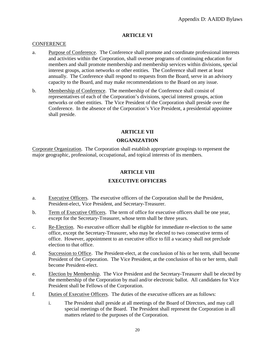### **ARTICLE VI**

### **CONFERENCE**

- a. Purpose of Conference. The Conference shall promote and coordinate professional interests and activities within the Corporation, shall oversee programs of continuing education for members and shall promote membership and membership services within divisions, special interest groups, action networks or other entities*.* The Conference shall meet at least annually. The Conference shall respond to requests from the Board, serve in an advisory capacity to the Board, and may make recommendations to the Board on any issue.
- b. Membership of Conference. The membership of the Conference shall consist of representatives of each of the Corporation's divisions, special interest groups, action networks or other entities. The Vice President of the Corporation shall preside over the Conference. In the absence of the Corporation's Vice President, a presidential appointee shall preside.

### **ARTICLE VII**

### **ORGANIZATION**

Corporate Organization. The Corporation shall establish appropriate groupings to represent the major geographic, professional, occupational, and topical interests of its members.

### **ARTICLE VIII**

### **EXECUTIVE OFFICERS**

- a. Executive Officers. The executive officers of the Corporation shall be the President, President-elect, Vice President, and Secretary-Treasurer.
- b. Term of Executive Officers. The term of office for executive officers shall be one year, except for the Secretary-Treasurer, whose term shall be three years.
- c. Re-Election. No executive officer shall be eligible for immediate re-election to the same office, except the Secretary-Treasurer, who may be elected to two consecutive terms of office. However, appointment to an executive office to fill a vacancy shall not preclude election to that office.
- d. Succession to Office. The President-elect, at the conclusion of his or her term, shall become President of the Corporation. The Vice President, at the conclusion of his or her term, shall become President-elect.
- e. Election by Membership. The Vice President and the Secretary-Treasurer shall be elected by the membership of the Corporation by mail and/or electronic ballot. All candidates for Vice President shall be Fellows of the Corporation.
- f. Duties of Executive Officers . The duties of the executive officers are as follows:
	- i. The President shall preside at all meetings of the Board of Directors, and may call special meetings of the Board. The President shall represent the Corporation in all matters related to the purposes of the Corporation.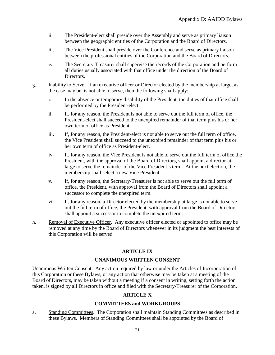- ii. The President-elect shall preside over the Assembly and serve as primary liaison between the geographic entities of the Corporation and the Board of Directors.
- iii. The Vice President shall preside over the Conference and serve as primary liaison between the professional entities of the Corporation and the Board of Directors.
- iv. The Secretary-Treasurer shall supervise the records of the Corporation and perform all duties usually associated with that office under the direction of the Board of Directors.
- g. Inability to Serve. If an executive officer or Director elected by the membership at large, as the case may be, is not able to serve, then the following shall apply:
	- i. In the absence or temporary disability of the President, the duties of that office shall be performed by the President-elect.
	- ii. If, for any reason, the President is not able to serve out the full term of office, the President-elect shall succeed to the unexpired remainder of that term plus his or her own term of office as President.
	- iii. If, for any reason, the President-elect is not able to serve out the full term of office, the Vice President shall succeed to the unexpired remainder of that term plus his or her own term of office as President-elect.
	- iv. If, for any reason, the Vice President is not able to serve out the full term of office the President, with the approval of the Board of Directors, shall appoint a director-atlarge to serve the remainder of the Vice President's term. At the next election, the membership shall select a new Vice President.
	- v. If, for any reason, the Secretary-Treasurer is not able to serve out the full term of office, the President, with approval from the Board of Directors shall appoint a successor to complete the unexpired term.
	- vi. If, for any reason, a Director elected by the membership at large is not able to serve out the full term of office, the President, with approval from the Board of Directors shall appoint a successor to complete the unexpired term.
- h. Removal of Executive Officer. Any executive officer elected or appointed to office may be removed at any time by the Board of Directors whenever in its judgment the best interests of this Corporation will be served.

### **ARTICLE IX**

### **UNANIMOUS WRITTEN CONSENT**

Unanimous Written Consent. Any action required by law or under the Articles of Incorporation of this Corporation or these Bylaws, or any action that otherwise may be taken at a meeting of the Board of Directors, may be taken without a meeting if a consent in writing, setting forth the action taken, is signed by all Directors in office and filed with the Secretary-Treasurer of the Corporation.

### **ARTICLE X**

### **COMMITTEES and WORKGROUPS**

a. Standing Committees. The Corporation shall maintain Standing Committees as described in these Bylaws. Members of Standing Committees shall be appointed by the Board of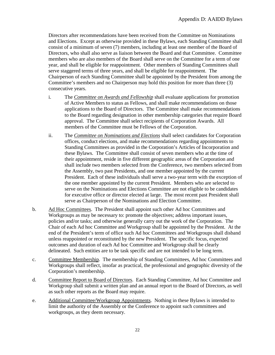Directors after recommendations have been received from the Committee on Nominations and Elections. Except as otherwise provided in these Bylaws, each Standing Committee shall consist of a minimum of seven (7) members, including at least one member of the Board of Directors, who shall also serve as liaison between the Board and that Committee. Committee members who are also members of the Board shall serve on the Committee for a term of one year, and shall be eligible for reappointment. Other members of Standing Committees shall serve staggered terms of three years, and shall be eligible for reappointment. The Chairperson of each Standing Committee shall be appointed by the President from among the Committee's members and no Chairperson may hold this position for more than three (3) consecutive years.

- i. The *Committee on Awards and Fellowship* shall evaluate applications for promotion of Active Members to status as Fellows, and shall make recommendations on those applications to the Board of Directors. The Committee shall make recommendations to the Board regarding designation in other membership categories that require Board approval. The Committee shall select recipients of Corporation Awards. All members of the Committee must be Fellows of the Corporation.
- ii. The *Committee on Nominations and Elections* shall select candidates for Corporation offices, conduct elections, and make recommendations regarding appointments to Standing Committees as provided in the Corporation's Articles of Incorporation and these Bylaws. The Committee shall consist of seven members who at the time of their appointment, reside in five different geographic areas of the Corporation and shall include two members *s*elected from the Conference, two members *s*elected from the Assembly, two past Presidents, and one member appointed by the current President. Each of these individuals shall serve a two-year term with the exception of the one member appointed by the current President. Members who are selected to serve on the Nominations and Elections Committee are not eligible to be candidates for executive office or director elected at large. The most recent past President shall serve as Chairperson of the Nominations and Election Committee.
- b. Ad Hoc Committees. The President shall appoint such other Ad hoc Committees and Workgroups as may be necessary to: promote the objectives; address important issues, policies and/or tasks; and otherwise generally carry out the work of the Corporation. The Chair of each Ad hoc Committee and Workgroup shall be appointed by the President. At the end of the President's term of office such Ad hoc Committees and Workgroups shall disband unless reappointed or reconstituted by the new President. The specific focus, expected outcomes and duration of each Ad hoc Committee and Workgroup shall be clearly delineated. Such entities are to be task specific and are not intended to be long term.
- c. Committee Membership. The membership of Standing Committees, Ad hoc Committees and Workgroups shall reflect, insofar as practical, the professional and geographic diversity of the Corporation's membership.
- d. Committee Report to Board of Directors. Each Standing Committee, Ad hoc Committee and Workgroup shall submit a written plan and an annual report to the Board of Directors, as well as such other reports as the Board may require.
- e. Additional Committee/Workgroup Appointments. Nothing in these Bylaws is intended to limit the authority of the Assembly or the Conference to appoint such committees and workgroups, as they deem necessary.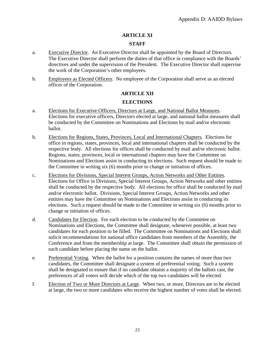### **ARTICLE XI**

### **STAFF**

- a. Executive Director. An Executive Director shall be appointed by the Board of Directors. The Executive Director shall perform the duties of that office in compliance with the Boards' directives and under the supervision of the President. The Executive Director shall supervise the work of the Corporation's other employees.
- b. Employees as Elected Officers. No employee of the Corporation shall serve as an elected officer of the Corporation.

### **ARTICLE XII**

### **ELECTIONS**

- a. Elections for Executive Officers, Directors at Large, and National Ballot Measures. Elections for executive officers, Directors elected at large, and national ballot measures shall be conducted by the Committee on Nominations and Elections by mail and/or electronic ballot.
- b. Elections for Regions, States, Provinces, Local and International Chapters. Elections for office in regions, states, provinces, local and international chapters shall be conducted by the respective body. All elections for offices shall be conducted by mail and/or electronic ballot. Regions*,* states, provinces, local or international chapters may have the Committee on Nominations and Elections assist in conducting its elections. Such request should be made to the Committee in writing six (6) months prior to change or initiation of offices.
- c. Elections for Divisions, Special Interest Groups, Action Networks and Other Entities. Elections for Office in Divisions, Special Interest Groups, Action Networks and other entities shall be conducted by the respective body. All elections for office shall be conducted by mail and/or electronic ballot. Divisions, Special Interest Groups, Action Networks and other entities may have the Committee on Nominations and Elections assist in conducting its elections. Such a request should be made to the Committee in writing six (6) months prior to change or initiation of offices.
- d. Candidates for Election. For each election to be conducted by the Committee on Nominations and Elections, the Committee shall designate, whenever possible, at least two candidates for each position to be filled. The Committee on Nominations and Elections shall solicit recommendations for national office candidates from members of the Assembly, the Conference and from the membership at large. The Committee shall obtain the permission of each candidate before placing the name on the ballot.
- e. Preferential Voting. When the ballot for a position contains the names of more than two candidates, the Committee shall designate a system of preferential voting. Such a system shall be designated to ensure that if no candidate obtains a majority of the ballots cast, the preferences of all voters will decide which of the top two candidates will be elected.
- f. Election of Two or More Directors at Large. When two, or more, Directors are to be elected at large, the two or more candidates who receive the highest number of votes shall be elected.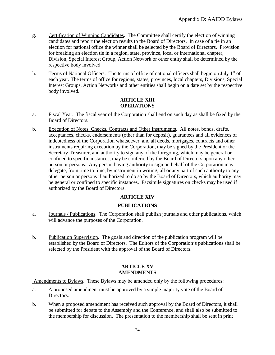- g. Certification of Winning Candidates. The Committee shall certify the election of winning candidates and report the election results to the Board of Directors. In case of a tie in an election for national office the winner shall be selected by the Board of Directors. Provision for breaking an election tie in a region, state, province, local or international chapter, Division, Special Interest Group, Action Network or other entity shall be determined by the respective body involved.
- h. Terms of National Officers. The terms of office of national officers shall begin on July  $1<sup>st</sup>$  of each year*.* The terms of office for regions, states, provinces, local chapters, Divisions, Special Interest Groups, Action Networks and other entities shall begin on a date set by the respective body involved*.*

### **ARTICLE XIII OPERATIONS**

- a. Fiscal Year. The fiscal year of the Corporation shall end on such day as shall be fixed by the Board of Directors.
- b. Execution of Notes, Checks, Contracts and Other Instruments. All notes, bonds, drafts, acceptances, checks, endorsements (other than for deposit), guarantees and all evidences of indebtedness of the Corporation whatsoever, and all deeds, mortgages, contracts and other instruments requiring execution by the Corporation, may be signed by the President or the Secretary-Treasurer, and authority to sign any of the foregoing, which may be general or confined to specific instances, may be conferred by the Board of Directors upon any other person or persons. Any person having authority to sign on behalf of the Corporation may delegate, from time to time, by instrument in writing, all or any part of such authority to any other person or persons if authorized to do so by the Board of Directors, which authority may be general or confined to specific instances. Facsimile signatures on checks may be used if authorized by the Board of Directors.

### **ARTICLE XIV**

### **PUBLICATIONS**

- a. Journals / Publications. The Corporation shall publish journals and other publications, which will advance the purposes of the Corporation.
- b. Publication Supervision. The goals and direction of the publication program will be established by the Board of Directors. The Editors of the Corporation's publications shall be selected by the President with the approval of the Board of Directors.

### **ARTICLE XV AMENDMENTS**

Amendments to Bylaws. These Bylaws may be amended only by the following procedures:

- a. A proposed amendment must be approved by a simple majority vote of the Board of Directors.
- b. When a proposed amendment has received such approval by the Board of Directors, it shall be submitted for debate to the Assembly and the Conference, and shall also be submitted to the membership for discussion. The presentation to the membership shall be sent in print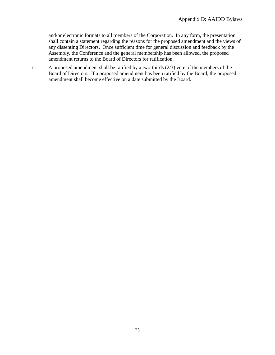and/or electronic formats to all members of the Corporation. In any form, the presentation shall contain a statement regarding the reasons for the proposed amendment and the views of any dissenting Directors. Once sufficient time for general discussion and feedback by the Assembly, the Conference and the general membership has been allowed, the proposed amendment returns to the Board of Directors for ratification.

c. A proposed amendment shall be ratified by a two-thirds (2/3) vote of the members of the Board of Directors. If a proposed amendment has been ratified by the Board, the proposed amendment shall become effective on a date submitted by the Board.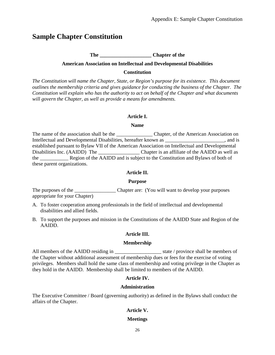# **Sample Chapter Constitution**

### **The \_\_\_\_\_\_\_\_\_\_\_\_\_\_\_\_\_\_\_\_ Chapter of the**

### **American Association on Intellectual and Developmental Disabilities**

#### **Constitution**

*The Constitution will name the Chapter, State, or Region's purpose for its existence. This document outlines the membership criteria and gives guidance for conducting the business of the Chapter. The Constitution will explain who has the authority to act on behalf of the Chapter and what documents will govern the Chapter, as well as provide a means for amendments.*

### **Article I.**

### **Name**

The name of the association shall be the the Chapter, of the American Association on Intellectual and Developmental Disabilities, hereafter known as \_\_\_\_\_\_\_\_\_\_\_\_\_\_\_\_\_\_\_\_\_, and is established pursuant to Bylaw VII of the American Association on Intellectual and Developmental Disabilities Inc. (AAIDD) The \_\_\_\_\_\_\_\_\_\_\_\_\_\_\_\_ Chapter is an affiliate of the AAIDD as well as the Region of the AAIDD and is subject to the Constitution and Bylaws of both of these parent organizations.

### **Article II.**

### **Purpose**

The purposes of the Chapter are: (You will want to develop your purposes appropriate for your Chapter)

- A. To foster cooperation among professionals in the field of intellectual and developmental disabilities and allied fields.
- B. To support the purposes and mission in the Constitutions of the AAIDD State and Region of the AAIDD.

### **Article III.**

### **Membership**

All members of the AAIDD residing in \_\_\_\_\_\_\_\_\_\_\_\_\_\_\_\_\_\_ state / province shall be members of the Chapter without additional assessment of membership dues or fees for the exercise of voting privileges. Members shall hold the same class of membership and voting privilege in the Chapter as they hold in the AAIDD. Membership shall be limited to members of the AAIDD.

### **Article IV.**

### **Administration**

The Executive Committee / Board (governing authority) as defined in the Bylaws shall conduct the affairs of the Chapter.

### **Article V.**

### **Meetings**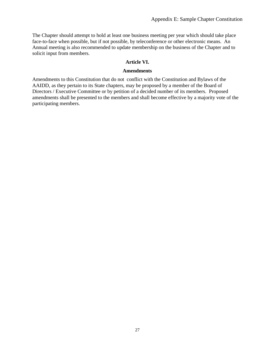The Chapter should attempt to hold at least one business meeting per year which should take place face-to-face when possible, but if not possible, by teleconference or other electronic means. An Annual meeting is also recommended to update membership on the business of the Chapter and to solicit input from members.

### **Article VI.**

### **Amendments**

Amendments to this Constitution that do not conflict with the Constitution and Bylaws of the AAIDD, as they pertain to its State chapters, may be proposed by a member of the Board of Directors / Executive Committee or by petition of a decided number of its members. Proposed amendments shall be presented to the members and shall become effective by a majority vote of the participating members.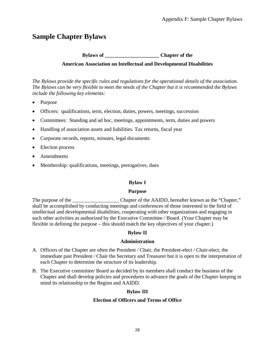# **Sample Chapter Bylaws**

### **Bylaws of \_\_\_\_\_\_\_\_\_\_\_\_\_\_\_\_\_\_\_\_\_ Chapter of the**

### **American Association on Intellectual and Developmental Disabilities**

*The Bylaws provide the specific rules and regulations for the operational details of the association. The Bylaws can be very flexible to meet the needs of the Chapter but it is recommended the Bylaws include the following key elements:*

- Purpose
- Officers: qualifications, term, election, duties, powers, meetings, succession
- Committees: Standing and ad hoc, meetings, appointments, term, duties and powers
- Handling of association assets and liabilities. Tax returns, fiscal year
- Corporate records, reports, minutes, legal documents
- Election process
- Amendments
- Membership: qualifications, meetings, prerogatives, dues

### **Bylaw I**

### **Purpose**

The purpose of the the chapter of the AAIDD, hereafter known as the "Chapter," shall be accomplished by conducting meetings and conferences of those interested in the field of intellectual and developmental disabilities, cooperating with other organizations and engaging in such other activities as authorized by the Executive Committee / Board. (Your Chapter may be flexible in defining the purpose – this should match the key objectives of your chapter.)

### **Bylaw II**

### **Administration**

- A. Officers of the Chapter are often the President / Chair, the President-elect / Chair-elect, the immediate past President / Chair the Secretary and Treasurer but it is open to the interpretation of each Chapter to determine the structure of its leadership.
- B. The Executive committee/ Board as decided by its members shall conduct the business of the Chapter and shall develop policies and procedures to advance the goals of the Chapter keeping in mind its relationship to the Region and AAIDD.

### **Bylaw III**

### **Election of Officers and Terms of Office**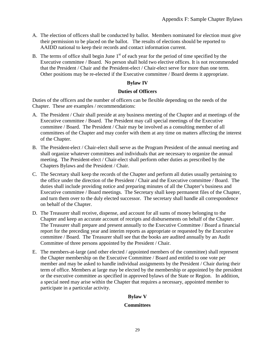- A. The election of officers shall be conducted by ballot. Members nominated for election must give their permission to be placed on the ballot. The results of elections should be reported to AAIDD national to keep their records and contact information current.
- B. The terms of office shall begin June  $1<sup>st</sup>$  of each year for the period of time specified by the Executive committee / Board. No person shall hold two elective offices. It is not recommended that the President / Chair and the President-elect / Chair-elect serve for more than one term. Other positions may be re-elected if the Executive committee / Board deems it appropriate.

### **Bylaw IV**

### **Duties of Officers**

Duties of the officers and the number of officers can be flexible depending on the needs of the Chapter. These are examples / recommendations:

- A. The President / Chair shall preside at any business meeting of the Chapter and at meetings of the Executive committee / Board. The President may call special meetings of the Executive committee / Board. The President / Chair may be involved as a consulting member of all committees of the Chapter and may confer with them at any time on matters affecting the interest of the Chapter.
- B. The President-elect / Chair-elect shall serve as the Program President of the annual meeting and shall organize whatever committees and individuals that are necessary to organize the annual meeting. The President-elect / Chair-elect shall perform other duties as prescribed by the Chapters Bylaws and the President / Chair.
- C. The Secretary shall keep the records of the Chapter and perform all duties usually pertaining to the office under the direction of the President / Chair and the Executive committee / Board. The duties shall include providing notice and preparing minutes of all the Chapter's business and Executive committee / Board meetings. The Secretary shall keep permanent files of the Chapter, and turn them over to the duly elected successor. The secretary shall handle all correspondence on behalf of the Chapter.
- D. The Treasurer shall receive, dispense, and account for all sums of money belonging to the Chapter and keep an accurate account of receipts and disbursements on behalf of the Chapter. The Treasurer shall prepare and present annually to the Executive Committee / Board a financial report for the preceding year and interim reports as appropriate or requested by the Executive committee / Board. The Treasurer shall see that the books are audited annually by an Audit Committee of three persons appointed by the President / Chair.
- E. The members-at-large (and other elected / appointed members of the committee) shall represent the Chapter membership on the Executive Committee / Board and entitled to one vote per member and may be asked to handle individual assignments by the President / Chair during their term of office. Members at large may be elected by the membership or appointed by the president or the executive committee as specified in approved bylaws of the State or Region. In addition, a special need may arise within the Chapter that requires a necessary, appointed member to participate in a particular activity.

### **Bylaw V**

### **Committees**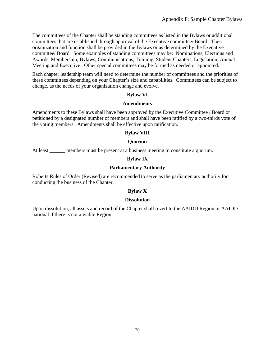The committees of the Chapter shall be standing committees as listed in the Bylaws or additional committees that are established through approval of the Executive committee/ Board. Their organization and function shall be provided in the Bylaws or as determined by the Executive committee/ Board. Some examples of standing committees may be: Nominations, Elections and Awards, Membership, Bylaws, Communications, Training, Student Chapters, Legislation, Annual Meeting and Executive. Other special committees may be formed as needed or appointed.

Each chapter leadership team will need to determine the number of committees and the priorities of these committees depending on your Chapter's size and capabilities. Committees can be subject to change, as the needs of your organization change and evolve.

### **Bylaw VI**

### **Amendments**

Amendments to these Bylaws shall have been approved by the Executive Committee / Board or petitioned by a designated number of members and shall have been ratified by a two-thirds vote of the voting members. Amendments shall be effective upon ratification.

### **Bylaw VIII**

### **Quorum**

At least \_\_\_\_\_\_ members must be present at a business meeting to constitute a quorum.

### **Bylaw IX**

### **Parliamentary Authority**

Roberts Rules of Order (Revised) are recommended to serve as the parliamentary authority for conducting the business of the Chapter.

### **Bylaw X**

### **Dissolution**

Upon dissolution, all assets and record of the Chapter shall revert to the AAIDD Region or AAIDD national if there is not a viable Region.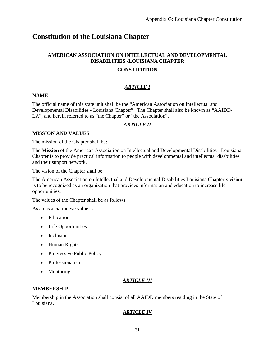# **Constitution of the Louisiana Chapter**

### **AMERICAN ASSOCIATION ON INTELLECTUAL AND DEVELOPMENTAL DISABILITIES -LOUISIANA CHAPTER**

### **CONSTITUTION**

### *ARTICLE I*

### **NAME**

The official name of this state unit shall be the "American Association on Intellectual and Developmental Disabilities - Louisiana Chapter". The Chapter shall also be known as "AAIDD-LA", and herein referred to as "the Chapter" or "the Association".

### *ARTICLE II*

### **MISSION AND VALUES**

The mission of the Chapter shall be:

The **Mission** of the American Association on Intellectual and Developmental Disabilities - Louisiana Chapter is to provide practical information to people with developmental and intellectual disabilities and their support network.

The vision of the Chapter shall be:

The American Association on Intellectual and Developmental Disabilities Louisiana Chapter's **vision** is to be recognized as an organization that provides information and education to increase life opportunities.

The values of the Chapter shall be as follows:

As an association we value…

- Education
- Life Opportunities
- Inclusion
- Human Rights
- Progressive Public Policy
- Professionalism
- Mentoring

### *ARTICLE III*

### **MEMBERSHIP**

Membership in the Association shall consist of all AAIDD members residing in the State of Louisiana.

### *ARTICLE IV*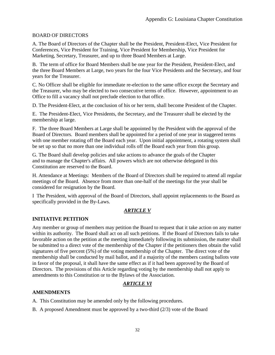### BOARD OF DIRECTORS

A. The Board of Directors of the Chapter shall be the President, President-Elect, Vice President for Conferences, Vice President for Training, Vice President for Membership, Vice President for Marketing, Secretary, Treasurer, and up to three Board Members at Large.

B. The term of office for Board Members shall be one year for the President, President-Elect, and the three Board Members at Large, two years for the four Vice Presidents and the Secretary, and four years for the Treasurer.

C. No Officer shall be eligible for immediate re-election to the same office except the Secretary and the Treasurer, who may be elected to two consecutive terms of office. However, appointment to an Office to fill a vacancy shall not preclude election to that office.

D. The President-Elect, at the conclusion of his or her term, shall become President of the Chapter.

E. The President-Elect, Vice Presidents, the Secretary, and the Treasurer shall be elected by the membership at large.

F. The three Board Members at Large shall be appointed by the President with the approval of the Board of Directors. Board members shall be appointed for a period of one year in staggered terms with one member rotating off the Board each year. Upon initial appointment, a rotating system shall be set up so that no more than one individual rolls off the Board each year from this group.

G. The Board shall develop policies and take actions to advance the goals of the Chapter and to manage the Chapter's affairs. All powers which are not otherwise delegated in this Constitution are reserved to the Board.

H. Attendance at Meetings: Members of the Board of Directors shall be required to attend all regular meetings of the Board. Absence from more than one-half of the meetings for the year shall be considered for resignation by the Board.

I The President, with approval of the Board of Directors, shall appoint replacements to the Board as specifically provided in the By-Laws.

### *ARTICLE V*

### **INITIATIVE PETITION**

Any member or group of members may petition the Board to request that it take action on any matter within its authority. The Board shall act on all such petitions. If the Board of Directors fails to take favorable action on the petition at the meeting immediately following its submission, the matter shall be submitted to a direct vote of the membership of the Chapter if the petitioners then obtain the valid signatures of five percent (5%) of the voting membership of the Chapter. The direct vote of the membership shall be conducted by mail ballot, and if a majority of the members casting ballots vote in favor of the proposal, it shall have the same effect as if it had been approved by the Board of Directors. The provisions of this Article regarding voting by the membership shall not apply to amendments to this Constitution or to the Bylaws of the Association.

### *ARTICLE VI*

### **AMENDMENTS**

A. This Constitution may be amended only by the following procedures.

B. A proposed Amendment must be approved by a two-third (2/3) vote of the Board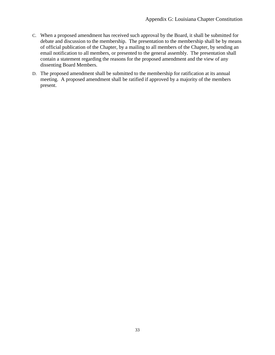- C. When a proposed amendment has received such approval by the Board, it shall be submitted for debate and discussion to the membership. The presentation to the membership shall be by means of official publication of the Chapter, by a mailing to all members of the Chapter, by sending an email notification to all members, or presented to the general assembly. The presentation shall contain a statement regarding the reasons for the proposed amendment and the view of any dissenting Board Members.
- D. The proposed amendment shall be submitted to the membership for ratification at its annual meeting. A proposed amendment shall be ratified if approved by a majority of the members present.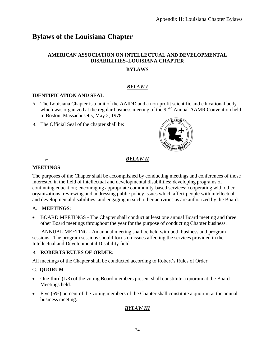# **Bylaws of the Louisiana Chapter**

### **AMERICAN ASSOCIATION ON INTELLECTUAL AND DEVELOPMENTAL DISABILITIES–LOUISIANA CHAPTER**

### **BYLAWS**

### *BYLAW I*

### **IDENTIFICATION AND SEAL**

- A. The Louisiana Chapter is a unit of the AAIDD and a non-profit scientific and educational body which was organized at the regular business meeting of the 92<sup>nd</sup> Annual AAMR Convention held in Boston, Massachusetts, May 2, 1978.
- B. The Official Seal of the chapter shall be:



### *BYLAW II*

### $\Box$ **MEETINGS**

The purposes of the Chapter shall be accomplished by conducting meetings and conferences of those interested in the field of intellectual and developmental disabilities; developing programs of continuing education; encouraging appropriate community-based services; cooperating with other organizations; reviewing and addressing public policy issues which affect people with intellectual and developmental disabilities; and engaging in such other activities as are authorized by the Board.

### A. **MEETINGS**:

• BOARD MEETINGS - The Chapter shall conduct at least one annual Board meeting and three other Board meetings throughout the year for the purpose of conducting Chapter business.

 ANNUAL MEETING - An annual meeting shall be held with both business and program sessions. The program sessions should focus on issues affecting the services provided in the Intellectual and Developmental Disability field.

### B. **ROBERTS RULES OF ORDER:**

All meetings of the Chapter shall be conducted according to Robert's Rules of Order.

### C. **QUORUM**

- One-third (1/3) of the voting Board members present shall constitute a quorum at the Board Meetings held.
- Five (5%) percent of the voting members of the Chapter shall constitute a quorum at the annual business meeting.

### *BYLAW III*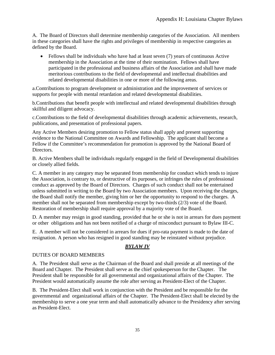A. The Board of Directors shall determine membership categories of the Association. All members in these categories shall have the rights and privileges of membership in respective categories as defined by the Board.

• Fellows shall be individuals who have had at least seven (7) years of continuous Active membership in the Association at the time of their nomination. Fellows shall have participated in the professional and business affairs of the Association and shall have made meritorious contributions to the field of developmental and intellectual disabilities and related developmental disabilities in one or more of the following areas.

a.Contributions to program development or administration and the improvement of services or supports for people with mental retardation and related developmental disabilities.

b.Contributions that benefit people with intellectual and related developmental disabilities through skillful and diligent advocacy.

c.Contributions to the field of developmental disabilities through academic achievements, research, publications, and presentation of professional papers.

Any Active Members desiring promotion to Fellow status shall apply and present supporting evidence to the National Committee on Awards and Fellowship. The applicant shall become a Fellow if the Committee's recommendation for promotion is approved by the National Board of Directors.

B. Active Members shall be individuals regularly engaged in the field of Developmental disabilities or closely allied fields.

C. A member in any category may be separated from membership for conduct which tends to injure the Association, is contrary to, or destructive of its purposes, or infringes the rules of professional conduct as approved by the Board of Directors. Charges of such conduct shall not be entertained unless submitted in writing to the Board by two Association members. Upon receiving the charges, the Board shall notify the member, giving him or her the opportunity to respond to the charges. A member shall not be separated from membership except by two-thirds (2/3) vote of the Board. Restoration of membership shall require approval by a majority vote of the Board.

D. A member may resign in good standing, provided that he or she is not in arrears for dues payment or other obligations and has not been notified of a charge of misconduct pursuant to Bylaw III-C.

E. A member will not be considered in arrears for dues if pro-rata payment is made to the date of resignation. A person who has resigned in good standing may be reinstated without prejudice.

### *BYLAW IV*

### DUTIES OF BOARD MEMBERS

A. The President shall serve as the Chairman of the Board and shall preside at all meetings of the Board and Chapter. The President shall serve as the chief spokesperson for the Chapter. The President shall be responsible for all governmental and organizational affairs of the Chapter. The President would automatically assume the role after serving as President-Elect of the Chapter.

B. The President-Elect shall work in conjunction with the President and be responsible for the governmental and organizational affairs of the Chapter. The President-Elect shall be elected by the membership to serve a one year term and shall automatically advance to the Presidency after serving as President-Elect.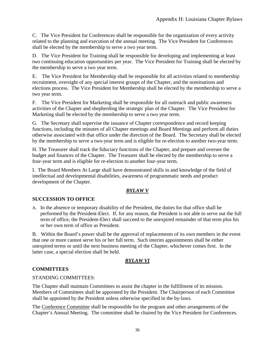C. The Vice President for Conferences shall be responsible for the organization of every activity related to the planning and execution of the annual meeting. The Vice President for Conferences shall be elected by the membership to serve a two year term.

D. The Vice President for Training shall be responsible for developing and implementing at least two continuing education opportunities per year. The Vice President for Training shall be elected by the membership to serve a two year term.

E. The Vice President for Membership shall be responsible for all activities related to membership recruitment, oversight of any special interest groups of the Chapter, and the nominations and elections process. The Vice President for Membership shall be elected by the membership to serve a two year term.

F. The Vice President for Marketing shall be responsible for all outreach and public awareness activities of the Chapter and shepherding the strategic plan of the Chapter. The Vice President for Marketing shall be elected by the membership to serve a two year term.

G.The Secretary shall supervise the issuance of Chapter correspondence and record keeping functions, including the minutes of all Chapter meetings and Board Meetings and perform all duties otherwise associated with that office under the direction of the Board. The Secretary shall be elected by the membership to serve a two-year term and is eligible for re-election to another two-year term.

H. The Treasurer shall track the fiduciary functions of the Chapter, and prepare and oversee the budget and finances of the Chapter. The Treasurer shall be elected by the membership to serve a four-year term and is eligible for re-election to another four-year term.

I. The Board Members At Large shall have demonstrated skills in and knowledge of the field of intellectual and developmental disabilities, awareness of programmatic needs and product development of the Chapter.

### *BYLAW V*

### **SUCCESSION TO OFFICE**

A. In the absence or temporary disability of the President, the duties for that office shall be performed by the President-Elect. If, for any reason, the President is not able to serve out the full term of office, the President-Elect shall succeed to the unexpired remainder of that term plus his or her own term of office as President.

B. Within the Board's power shall be the approval of replacements of its own members in the event that one or more cannot serve his or her full term. Such interim appointments shall be either unexpired terms or until the next business meeting of the Chapter, whichever comes first. In the latter case, a special election shall be held.

### *BYLAW VI*

### **COMMITTEES**

### STANDING COMMITTEES:

The Chapter shall maintain Committees to assist the chapter in the fulfillment of its mission. Members of Committees shall be appointed by the President. The Chairperson of each Committee shall be appointed by the President unless otherwise specified in the by-laws.

The Conference Committee shall be responsible for the program and other arrangements of the Chapter's Annual Meeting. The committee shall be chaired by the Vice President for Conferences.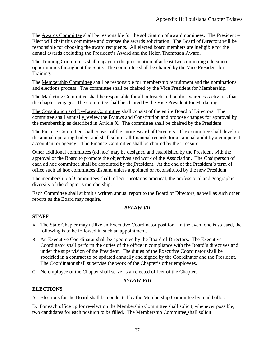The Awards Committee shall be responsible for the solicitation of award nominees. The President – Elect will chair this committee and oversee the awards solicitation. The Board of Directors will be responsible for choosing the award recipients. All elected board members are ineligible for the annual awards excluding the President's Award and the Helen Thompson Award.

The Training Committees shall engage in the presentation of at least two continuing education opportunities throughout the State. The committee shall be chaired by the Vice President for Training.

The Membership Committee shall be responsible for membership recruitment and the nominations and elections process. The committee shall be chaired by the Vice President for Membership.

The Marketing Committee shall be responsible for all outreach and public awareness activities that the chapter engages. The committee shall be chaired by the Vice President for Marketing.

The Constitution and By-Laws Committee shall consist of the entire Board of Directors. The committee shall annually review the Bylaws and Constitution and propose changes for approval by the membership as described in Article X. The committee shall be chaired by the President.

The Finance Committee shall consist of the entire Board of Directors. The committee shall develop the annual operating budget and shall submit all financial records for an annual audit by a competent accountant or agency. The Finance Committee shall be chaired by the Treasurer.

Other additional committees (ad hoc) may be designed and established by the President with the approval of the Board to promote the objectives and work of the Association. The Chairperson of each ad hoc committee shall be appointed by the President. At the end of the President's term of office such ad hoc committees disband unless appointed or reconstituted by the new President.

The membership of Committees shall reflect, insofar as practical, the professional and geographic diversity of the chapter's membership.

Each Committee shall submit a written annual report to the Board of Directors, as well as such other reports as the Board may require.

### *BYLAW VII*

### **STAFF**

- A. The State Chapter may utilize an Executive Coordinator position. In the event one is so used, the following is to be followed in such an appointment.
- B. An Executive Coordinator shall be appointed by the Board of Directors. The Executive Coordinator shall perform the duties of the office in compliance with the Board's directives and under the supervision of the President. The duties of the Executive Coordinator shall be specified in a contract to be updated annually and signed by the Coordinator and the President. The Coordinator shall supervise the work of the Chapter's other employees.
- C. No employee of the Chapter shall serve as an elected officer of the Chapter.

### *BYLAW VIII*

### **ELECTIONS**

A. Elections for the Board shall be conducted by the Membership Committee by mail ballot.

B. For each office up for re-election the Membership Committee shall solicit, whenever possible, two candidates for each position to be filled. The Membership Committee shall solicit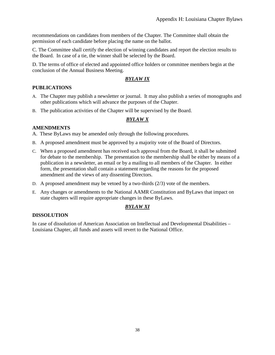recommendations on candidates from members of the Chapter*.* The Committee shall obtain the permission of each candidate before placing the name on the ballot.

C. The Committee shall certify the election of winning candidates and report the election results to the Board. In case of a tie, the winner shall be selected by the Board.

D. The terms of office of elected and appointed office holders or committee members begin at the conclusion of the Annual Business Meeting.

### *BYLAW IX*

### **PUBLICATIONS**

- A. The Chapter may publish a newsletter or journal. It may also publish a series of monographs and other publications which will advance the purposes of the Chapter.
- B. The publication activities of the Chapter will be supervised by the Board.

### *BYLAW X*

### **AMENDMENTS**

A. These ByLaws may be amended only through the following procedures.

- B. A proposed amendment must be approved by a majority vote of the Board of Directors.
- C. When a proposed amendment has received such approval from the Board, it shall be submitted for debate to the membership. The presentation to the membership shall be either by means of a publication in a newsletter, an email or by a mailing to all members of the Chapter. In either form, the presentation shall contain a statement regarding the reasons for the proposed amendment and the views of any dissenting Directors.
- D. A proposed amendment may be vetoed by a two-thirds  $(2/3)$  vote of the members.
- E. Any changes or amendments to the National AAMR Constitution and ByLaws that impact on state chapters will require appropriate changes in these ByLaws.

### *BYLAW XI*

### **DISSOLUTION**

In case of dissolution of American Association on Intellectual and Developmental Disabilities – Louisiana Chapter, all funds and assets will revert to the National Office.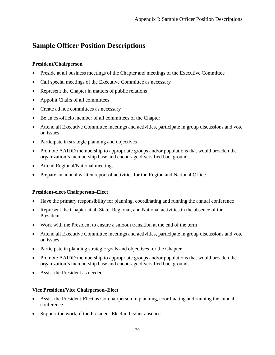# **Sample Officer Position Descriptions**

### **President/Chairperson**

- Preside at all business meetings of the Chapter and meetings of the Executive Committee
- Call special meetings of the Executive Committee as necessary
- Represent the Chapter in matters of public relations
- Appoint Chairs of all committees
- Create ad hoc committees as necessary
- Be an ex-officio member of all committees of the Chapter
- Attend all Executive Committee meetings and activities, participate in group discussions and vote on issues
- Participate in strategic planning and objectives
- Promote AAIDD membership to appropriate groups and/or populations that would broaden the organization's membership base and encourage diversified backgrounds
- Attend Regional/National meetings
- Prepare an annual written report of activities for the Region and National Office

### **President-elect/Chairperson–Elect**

- Have the primary responsibility for planning, coordinating and running the annual conference
- Represent the Chapter at all State, Regional, and National activities in the absence of the President
- Work with the President to ensure a smooth transition at the end of the term
- Attend all Executive Committee meetings and activities, participate in group discussions and vote on issues
- Participate in planning strategic goals and objectives for the Chapter
- Promote AAIDD membership to appropriate groups and/or populations that would broaden the organization's membership base and encourage diversified backgrounds
- Assist the President as needed

### **Vice President/Vice Chairperson–Elect**

- Assist the President-Elect as Co-chairperson in planning, coordinating and running the annual conference
- Support the work of the President-Elect in his/her absence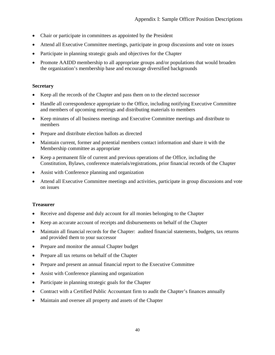- Chair or participate in committees as appointed by the President
- Attend all Executive Committee meetings, participate in group discussions and vote on issues
- Participate in planning strategic goals and objectives for the Chapter
- Promote AAIDD membership to all appropriate groups and/or populations that would broaden the organization's membership base and encourage diversified backgrounds

### **Secretary**

- Keep all the records of the Chapter and pass them on to the elected successor
- Handle all correspondence appropriate to the Office, including notifying Executive Committee and members of upcoming meetings and distributing materials to members
- Keep minutes of all business meetings and Executive Committee meetings and distribute to members
- Prepare and distribute election ballots as directed
- Maintain current, former and potential members contact information and share it with the Membership committee as appropriate
- Keep a permanent file of current and previous operations of the Office, including the Constitution, Bylaws, conference materials/registrations, prior financial records of the Chapter
- Assist with Conference planning and organization
- Attend all Executive Committee meetings and activities, participate in group discussions and vote on issues

### **Treasurer**

- Receive and dispense and duly account for all monies belonging to the Chapter
- Keep an accurate account of receipts and disbursements on behalf of the Chapter
- Maintain all financial records for the Chapter: audited financial statements, budgets, tax returns and provided them to your successor
- Prepare and monitor the annual Chapter budget
- Prepare all tax returns on behalf of the Chapter
- Prepare and present an annual financial report to the Executive Committee
- Assist with Conference planning and organization
- Participate in planning strategic goals for the Chapter
- Contract with a Certified Public Accountant firm to audit the Chapter's finances annually
- Maintain and oversee all property and assets of the Chapter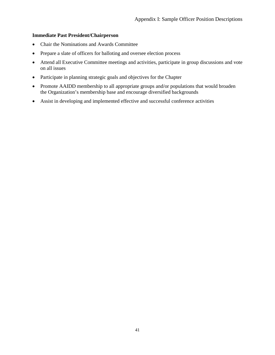### **Immediate Past President/Chairperson**

- Chair the Nominations and Awards Committee
- Prepare a slate of officers for balloting and oversee election process
- Attend all Executive Committee meetings and activities, participate in group discussions and vote on all issues
- Participate in planning strategic goals and objectives for the Chapter
- Promote AAIDD membership to all appropriate groups and/or populations that would broaden the Organization's membership base and encourage diversified backgrounds
- Assist in developing and implemented effective and successful conference activities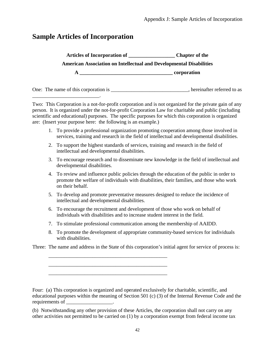# **Sample Articles of Incorporation**

\_\_\_\_\_\_\_\_\_\_\_\_\_\_\_\_\_\_\_\_\_\_\_\_\_\_.

**Articles of Incorporation of \_\_\_\_\_\_\_\_\_\_\_\_\_\_\_\_\_\_ Chapter of the American Association on Intellectual and Developmental Disabilities A \_\_\_\_\_\_\_\_\_\_\_\_\_\_\_\_\_\_\_\_\_\_\_\_\_\_\_\_\_\_\_\_\_\_\_\_ corporation**

One: The name of this corporation is equal to a set of the corporation is the set of the set of the set of the set of the set of the set of the set of the set of the set of the set of the set of the set of the set of the s

Two: This Corporation is a not-for-profit corporation and is not organized for the private gain of any person. It is organized under the not-for-profit Corporation Law for charitable and public (including scientific and educational) purposes. The specific purposes for which this corporation is organized are: (Insert your purpose here: the following is an example.)

- 1. To provide a professional organization promoting cooperation among those involved in services, training and research in the field of intellectual and developmental disabilities.
- 2. To support the highest standards of services, training and research in the field of intellectual and developmental disabilities.
- 3. To encourage research and to disseminate new knowledge in the field of intellectual and developmental disabilities.
- 4. To review and influence public policies through the education of the public in order to promote the welfare of individuals with disabilities, their families, and those who work on their behalf.
- 5. To develop and promote preventative measures designed to reduce the incidence of intellectual and developmental disabilities.
- 6. To encourage the recruitment and development of those who work on behalf of individuals with disabilities and to increase student interest in the field.
- 7. To stimulate professional communication among the membership of AAIDD.
- 8. To promote the development of appropriate community-based services for individuals with disabilities.

Three: The name and address in the State of this corporation's initial agent for service of process is:

\_\_\_\_\_\_\_\_\_\_\_\_\_\_\_\_\_\_\_\_\_\_\_\_\_\_\_\_\_\_\_\_\_\_\_\_\_\_\_\_\_\_\_\_\_\_ \_\_\_\_\_\_\_\_\_\_\_\_\_\_\_\_\_\_\_\_\_\_\_\_\_\_\_\_\_\_\_\_\_\_\_\_\_\_\_\_\_\_\_\_\_\_ \_\_\_\_\_\_\_\_\_\_\_\_\_\_\_\_\_\_\_\_\_\_\_\_\_\_\_\_\_\_\_\_\_\_\_\_\_\_\_\_\_\_\_\_\_\_

Four: (a) This corporation is organized and operated exclusively for charitable, scientific, and educational purposes within the meaning of Section 501 (c) (3) of the Internal Revenue Code and the requirements of  $\blacksquare$ 

(b) Notwithstanding any other provision of these Articles, the corporation shall not carry on any other activities not permitted to be carried on (1) by a corporation exempt from federal income tax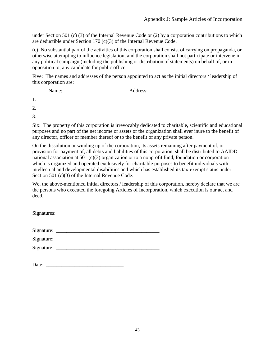under Section 501 (c) (3) of the Internal Revenue Code or (2) by a corporation contributions to which are deductible under Section 170 (c)(3) of the Internal Revenue Code.

(c) No substantial part of the activities of this corporation shall consist of carrying on propaganda, or otherwise attempting to influence legislation, and the corporation shall not participate or intervene in any political campaign (including the publishing or distribution of statements) on behalf of, or in opposition to, any candidate for public office.

Five: The names and addresses of the person appointed to act as the initial directors / leadership of this corporation are:

Name: Address:

1.

2.

3.

Six: The property of this corporation is irrevocably dedicated to charitable, scientific and educational purposes and no part of the net income or assets or the organization shall ever inure to the benefit of any director, officer or member thereof or to the benefit of any private person.

On the dissolution or winding up of the corporation, its assets remaining after payment of, or provision for payment of, all debts and liabilities of this corporation, shall be distributed to AAIDD national association at 501  $(c)(3)$  organization or to a nonprofit fund, foundation or corporation which is organized and operated exclusively for charitable purposes to benefit individuals with intellectual and developmental disabilities and which has established its tax-exempt status under Section 501 (c)(3) of the Internal Revenue Code.

We, the above-mentioned initial directors / leadership of this corporation, hereby declare that we are the persons who executed the foregoing Articles of Incorporation, which execution is our act and deed.

Signatures:

| Signature: |  |
|------------|--|
|            |  |

| Signature: |  |  |  |
|------------|--|--|--|
| Signature: |  |  |  |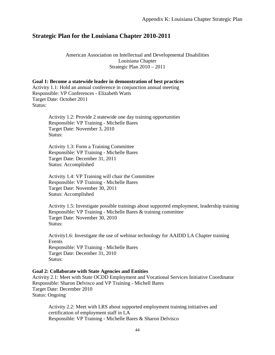### **Strategic Plan for the Louisiana Chapter 2010-2011**

American Association on Intellectual and Developmental Disabilities Louisiana Chapter Strategic Plan 2010 – 2011

**Goal 1: Become a statewide leader in demonstration of best practices** Activity 1.1: Hold an annual conference in conjunction annual meeting Responsible: VP Conferences - Elizabeth Watts Target Date: October 2011 Status:

> Activity 1.2: Provide 2 statewide one day training opportunities Responsible: VP Training - Michelle Bares Target Date: November 3, 2010 Status:

Activity 1.3: Form a Training Committee Responsible: VP Training - Michelle Bares Target Date: December 31, 2011 Status: Accomplished

Activity 1.4: VP Training will chair the Committee Responsible: VP Training - Michelle Bares Target Date: November 30, 2011 Status: Accomplished

Activity 1.5: Investigate possible trainings about supported employment, leadership training Responsible: VP Training - Michelle Bares & training committee Target Date: November 30, 2010 Status:

Activity1.6: Investigate the use of webinar technology for AAIDD LA Chapter training Events Responsible: VP Training - Michelle Bares Target Date: December 31, 2010 Status:

### **Goal 2: Collaborate with State Agencies and Entities**

Activity 2.1: Meet with State OCDD Employment and Vocational Services Initiative Coordinator Responsible: Sharon Delvisco and VP Training - Michell Bares Target Date: December 2010 Status: Ongoing

Activity 2.2: Meet with LRS about supported employment training initiatives and certification of employment staff in LA Responsible: VP Training - Michelle Bares & Sharon Delvisco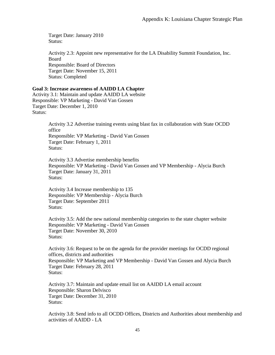Target Date: January 2010 Status:

Activity 2.3: Appoint new representative for the LA Disability Summit Foundation, Inc. Board Responsible: Board of Directors Target Date: November 15, 2011 Status: Completed

### **Goal 3: Increase awareness of AAIDD LA Chapter**

Activity 3.1: Maintain and update AAIDD LA website Responsible: VP Marketing - David Van Gossen Target Date: December 1, 2010 Status:

> Activity 3.2 Advertise training events using blast fax in collaboration with State OCDD office Responsible: VP Marketing - David Van Gossen Target Date: February 1, 2011 Status:

Activity 3.3 Advertise membership benefits Responsible: VP Marketing - David Van Gossen and VP Membership - Alycia Burch Target Date: January 31, 2011 Status:

Activity 3.4 Increase membership to 135 Responsible: VP Membership - Alycia Burch Target Date: September 2011 Status:

Activity 3.5: Add the new national membership categories to the state chapter website Responsible: VP Marketing - David Van Gossen Target Date: November 30, 2010 Status:

Activity 3.6: Request to be on the agenda for the provider meetings for OCDD regional offices, districts and authorities Responsible: VP Marketing and VP Membership - David Van Gossen and Alycia Burch Target Date: February 28, 2011 Status:

Activity 3.7: Maintain and update email list on AAIDD LA email account Responsible: Sharon Delvisco Target Date: December 31, 2010 Status:

Activity 3.8: Send info to all OCDD Offices, Districts and Authorities about membership and activities of AAIDD - LA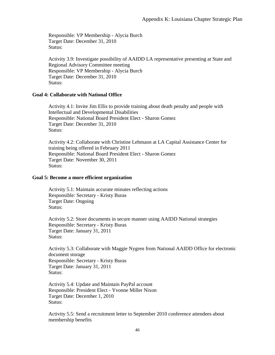Responsible: VP Membership - Alycia Burch Target Date: December 31, 2010 Status:

Activity 3.9: Investigate possibility of AAIDD LA representative presenting at State and Regional Advisory Committee meeting Responsible: VP Membership - Alycia Burch Target Date: December 31, 2010 Status:

### **Goal 4: Collaborate with National Office**

Activity 4.1: Invite Jim Ellis to provide training about death penalty and people with Intellectual and Developmental Disabilities Responsible: National Board President Elect - Sharon Gomez Target Date: December 31, 2010 Status:

Activity 4.2: Collaborate with Christine Lehmann at LA Capital Assistance Center for training being offered in February 2011 Responsible: National Board President Elect - Sharon Gomez Target Date: November 30, 2011 Status:

#### **Goal 5: Become a more efficient organization**

Activity 5.1: Maintain accurate minutes reflecting actions Responsible: Secretary - Kristy Buras Target Date: Ongoing Status:

Activity 5.2: Store documents in secure manner using AAIDD National strategies Responsible: Secretary - Kristy Buras Target Date: January 31, 2011 Status:

Activity 5.3: Collaborate with Maggie Nygren from National AAIDD Office for electronic document storage Responsible: Secretary - Kristy Buras Target Date: January 31, 2011 Status:

Activity 5.4: Update and Maintain PayPal account Responsible: President Elect - Yvonne Miller Nixon Target Date: December 1, 2010 Status:

Activity 5.5: Send a recruitment letter to September 2010 conference attendees about membership benefits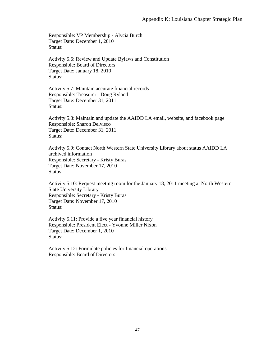Responsible: VP Membership - Alycia Burch Target Date: December 1, 2010 Status:

Activity 5.6: Review and Update Bylaws and Constitution Responsible: Board of Directors Target Date: January 18, 2010 Status:

Activity 5.7: Maintain accurate financial records Responsible: Treasurer - Doug Ryland Target Date: December 31, 2011 Status:

Activity 5.8: Maintain and update the AAIDD LA email, website, and facebook page Responsible: Sharon Delvisco Target Date: December 31, 2011 Status:

Activity 5.9: Contact North Western State University Library about status AAIDD LA archived information Responsible: Secretary - Kristy Buras Target Date: November 17, 2010 Status:

Activity 5.10: Request meeting room for the January 18, 2011 meeting at North Western State University Library Responsible: Secretary - Kristy Buras Target Date: November 17, 2010 Status:

Activity 5.11: Provide a five year financial history Responsible: President Elect - Yvonne Miller Nixon Target Date: December 1, 2010 Status:

Activity 5.12: Formulate policies for financial operations Responsible: Board of Directors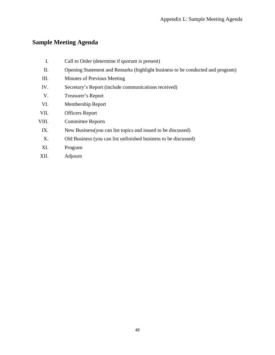# **Sample Meeting Agenda**

| I.    | Call to Order (determine if quorum is present)                                 |
|-------|--------------------------------------------------------------------------------|
| П.    | Opening Statement and Remarks (highlight business to be conducted and program) |
| III.  | Minutes of Previous Meeting                                                    |
| IV.   | Secretary's Report (include communications received)                           |
| V.    | Treasurer's Report                                                             |
| VI.   | Membership Report                                                              |
| VII.  | <b>Officers Report</b>                                                         |
| VIII. | <b>Committee Reports</b>                                                       |
| IX.   | New Business (you can list topics and issued to be discussed)                  |
| X.    | Old Business (you can list unfinished business to be discussed)                |
| XI.   | Program                                                                        |
| XII.  | Adjourn                                                                        |
|       |                                                                                |